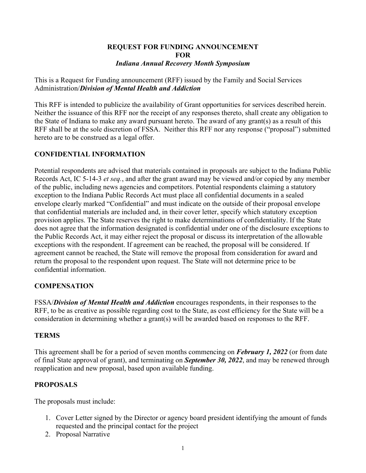#### **REQUEST FOR FUNDING ANNOUNCEMENT FOR** *Indiana Annual Recovery Month Symposium*

This is a Request for Funding announcement (RFF) issued by the Family and Social Services Administration/*Division of Mental Health and Addiction*

This RFF is intended to publicize the availability of Grant opportunities for services described herein. Neither the issuance of this RFF nor the receipt of any responses thereto, shall create any obligation to the State of Indiana to make any award pursuant hereto. The award of any grant(s) as a result of this RFF shall be at the sole discretion of FSSA. Neither this RFF nor any response ("proposal") submitted hereto are to be construed as a legal offer.

# **CONFIDENTIAL INFORMATION**

Potential respondents are advised that materials contained in proposals are subject to the Indiana Public Records Act, IC 5-14-3 *et seq.*, and after the grant award may be viewed and/or copied by any member of the public, including news agencies and competitors. Potential respondents claiming a statutory exception to the Indiana Public Records Act must place all confidential documents in a sealed envelope clearly marked "Confidential" and must indicate on the outside of their proposal envelope that confidential materials are included and, in their cover letter, specify which statutory exception provision applies. The State reserves the right to make determinations of confidentiality. If the State does not agree that the information designated is confidential under one of the disclosure exceptions to the Public Records Act, it may either reject the proposal or discuss its interpretation of the allowable exceptions with the respondent. If agreement can be reached, the proposal will be considered. If agreement cannot be reached, the State will remove the proposal from consideration for award and return the proposal to the respondent upon request. The State will not determine price to be confidential information.

## **COMPENSATION**

FSSA/*Division of Mental Health and Addiction* encourages respondents, in their responses to the RFF, to be as creative as possible regarding cost to the State, as cost efficiency for the State will be a consideration in determining whether a grant(s) will be awarded based on responses to the RFF.

## **TERMS**

This agreement shall be for a period of seven months commencing on *February 1, 2022* (or from date of final State approval of grant), and terminating on *September 30, 2022*, and may be renewed through reapplication and new proposal, based upon available funding.

# **PROPOSALS**

The proposals must include:

- 1. Cover Letter signed by the Director or agency board president identifying the amount of funds requested and the principal contact for the project
- 2. Proposal Narrative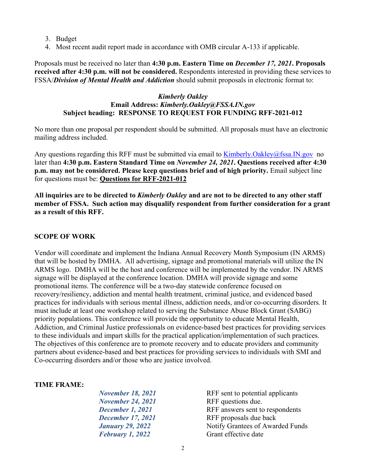- 3. Budget
- 4. Most recent audit report made in accordance with OMB circular A-133 if applicable.

Proposals must be received no later than **4:30 p.m. Eastern Time on** *December 17, 2021***. Proposals received after 4:30 p.m. will not be considered.** Respondents interested in providing these services to FSSA/*Division of Mental Health and Addiction* should submit proposals in electronic format to:

#### *Kimberly Oakley* **Email Address:** *Kimberly.Oakley@FSSA.IN.gov*  **Subject heading: RESPONSE TO REQUEST FOR FUNDING RFF-2021-012**

No more than one proposal per respondent should be submitted. All proposals must have an electronic mailing address included.

Any questions regarding this RFF must be submitted via email to [Kimberly.Oakley@fssa.IN.gov](mailto:Kimberly.Oakley@fssa.IN.gov) no later than **4:30 p.m. Eastern Standard Time on** *November 24, 2021***. Questions received after 4:30 p.m. may not be considered. Please keep questions brief and of high priority.** Email subject line for questions must be: **Questions for RFF-2021-012**

**All inquiries are to be directed to** *Kimberly Oakley* **and are not to be directed to any other staff member of FSSA. Such action may disqualify respondent from further consideration for a grant as a result of this RFF.**

## **SCOPE OF WORK**

Vendor will coordinate and implement the Indiana Annual Recovery Month Symposium (IN ARMS) that will be hosted by DMHA. All advertising, signage and promotional materials will utilize the IN ARMS logo. DMHA will be the host and conference will be implemented by the vendor. IN ARMS signage will be displayed at the conference location. DMHA will provide signage and some promotional items. The conference will be a two-day statewide conference focused on recovery/resiliency, addiction and mental health treatment, criminal justice, and evidenced based practices for individuals with serious mental illness, addiction needs, and/or co-occurring disorders. It must include at least one workshop related to serving the Substance Abuse Block Grant (SABG) priority populations. This conference will provide the opportunity to educate Mental Health, Addiction, and Criminal Justice professionals on evidence-based best practices for providing services to these individuals and impart skills for the practical application/implementation of such practices. The objectives of this conference are to promote recovery and to educate providers and community partners about evidence-based and best practices for providing services to individuals with SMI and Co-occurring disorders and/or those who are justice involved.

#### **TIME FRAME:**

| RFF sent to potential applicants |
|----------------------------------|
| RFF questions due.               |
| RFF answers sent to respondents  |
| RFF proposals due back           |
| Notify Grantees of Awarded Funds |
| Grant effective date             |
|                                  |